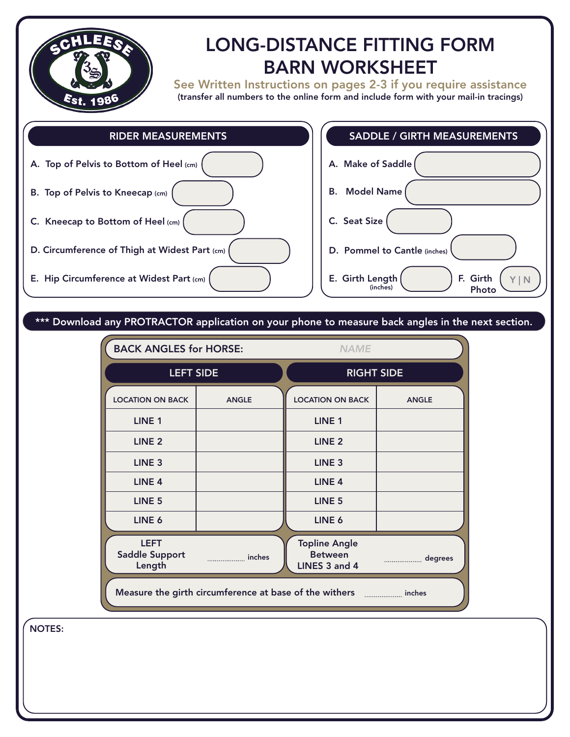

# LONG-DISTANCE FITTING FORM BARN WORKSHEET

See Written Instructions on pages 2-3 if you require assistance (transfer all numbers to the online form and include form with your mail-in tracings)

> F. Girth Photo

Y | N



## \*\*\* Download any PROTRACTOR application on your phone to measure back angles in the next section.

| <b>BACK ANGLES for HORSE:</b>                  |              | <b>NAME</b>                                                               |              |
|------------------------------------------------|--------------|---------------------------------------------------------------------------|--------------|
| <b>LEFT SIDE</b>                               |              | <b>RIGHT SIDE</b>                                                         |              |
| <b>LOCATION ON BACK</b>                        | <b>ANGLE</b> | <b>LOCATION ON BACK</b>                                                   | <b>ANGLE</b> |
| LINE <sub>1</sub>                              |              | <b>LINE 1</b>                                                             |              |
| LINE <sub>2</sub>                              |              | LINE <sub>2</sub>                                                         |              |
| LINE <sub>3</sub>                              |              | LINE <sub>3</sub>                                                         |              |
| LINE <sub>4</sub>                              |              | LINE <sub>4</sub>                                                         |              |
| LINE <sub>5</sub>                              |              | LINE <sub>5</sub>                                                         |              |
| LINE 6                                         |              | LINE 6                                                                    |              |
| <b>LEFT</b><br><b>Saddle Support</b><br>Length | inches       | <b>Topline Angle</b><br><b>Between</b><br>LINES 3 and 4                   | degrees      |
|                                                |              | Measure the girth circumference at base of the withers manuscrime. inches |              |

NOTES: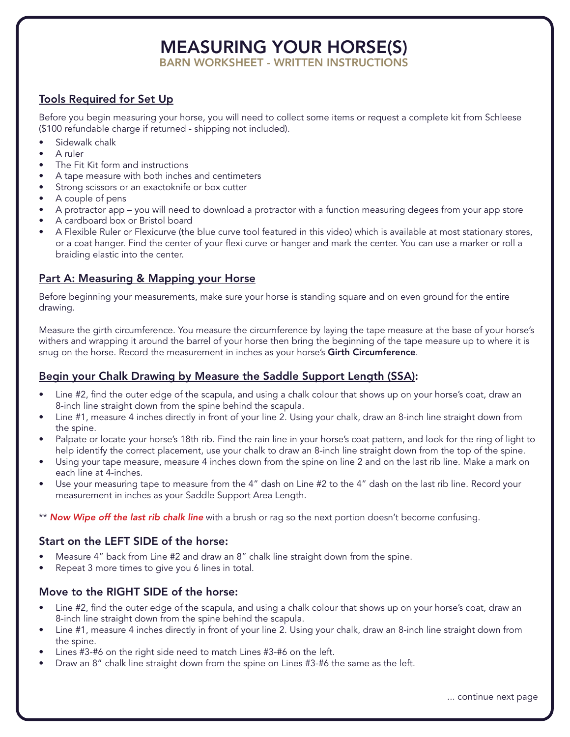## MEASURING YOUR HORSE(S)

BARN WORKSHEET - WRITTEN INSTRUCTIONS

## Tools Required for Set Up

Before you begin measuring your horse, you will need to collect some items or request a complete kit from Schleese (\$100 refundable charge if returned - shipping not included).

- Sidewalk chalk
- A ruler
- The Fit Kit form and instructions
- A tape measure with both inches and centimeters
- Strong scissors or an exactoknife or box cutter
- A couple of pens
- A protractor app you will need to download a protractor with a function measuring degees from your app store
- A cardboard box or Bristol board
- A Flexible Ruler or Flexicurve (the blue curve tool featured in this video) which is available at most stationary stores, or a coat hanger. Find the center of your flexi curve or hanger and mark the center. You can use a marker or roll a braiding elastic into the center.

## Part A: Measuring & Mapping your Horse

Before beginning your measurements, make sure your horse is standing square and on even ground for the entire drawing.

Measure the girth circumference. You measure the circumference by laying the tape measure at the base of your horse's withers and wrapping it around the barrel of your horse then bring the beginning of the tape measure up to where it is snug on the horse. Record the measurement in inches as your horse's Girth Circumference.

## Begin your Chalk Drawing by Measure the Saddle Support Length (SSA):

- Line #2, find the outer edge of the scapula, and using a chalk colour that shows up on your horse's coat, draw an 8-inch line straight down from the spine behind the scapula.
- Line #1, measure 4 inches directly in front of your line 2. Using your chalk, draw an 8-inch line straight down from the spine.
- Palpate or locate your horse's 18th rib. Find the rain line in your horse's coat pattern, and look for the ring of light to help identify the correct placement, use your chalk to draw an 8-inch line straight down from the top of the spine.
- Using your tape measure, measure 4 inches down from the spine on line 2 and on the last rib line. Make a mark on each line at 4-inches.
- Use your measuring tape to measure from the 4" dash on Line #2 to the 4" dash on the last rib line. Record your measurement in inches as your Saddle Support Area Length.

\*\* *Now Wipe off the last rib chalk line* with a brush or rag so the next portion doesn't become confusing.

## Start on the LEFT SIDE of the horse:

- Measure 4" back from Line #2 and draw an 8" chalk line straight down from the spine.
- Repeat 3 more times to give you 6 lines in total.

#### Move to the RIGHT SIDE of the horse:

- Line #2, find the outer edge of the scapula, and using a chalk colour that shows up on your horse's coat, draw an 8-inch line straight down from the spine behind the scapula.
- Line #1, measure 4 inches directly in front of your line 2. Using your chalk, draw an 8-inch line straight down from the spine.
- Lines #3-#6 on the right side need to match Lines #3-#6 on the left.
- Draw an 8" chalk line straight down from the spine on Lines #3-#6 the same as the left.

... continue next page